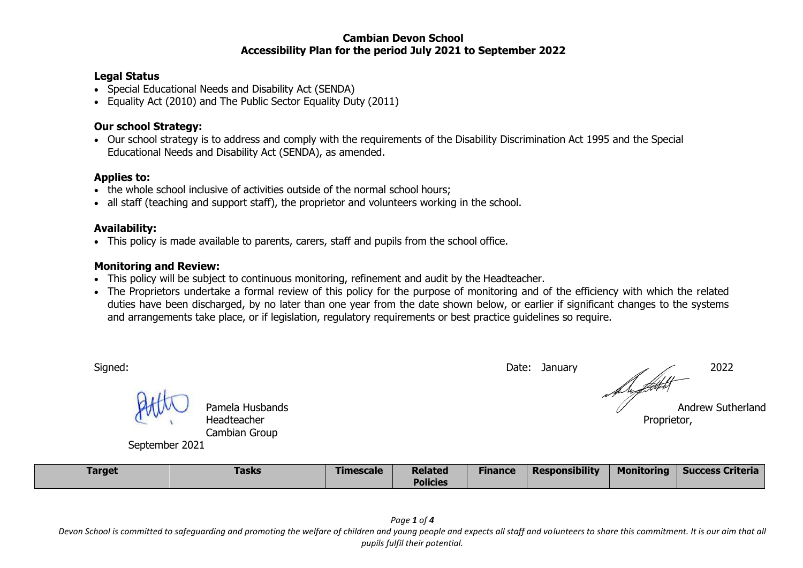#### **Cambian Devon School Accessibility Plan for the period July 2021 to September 2022**

#### **Legal Status**

- Special Educational Needs and Disability Act (SENDA)
- Equality Act (2010) and The Public Sector Equality Duty (2011)

## **Our school Strategy:**

 Our school strategy is to address and comply with the requirements of the Disability Discrimination Act 1995 and the Special Educational Needs and Disability Act (SENDA), as amended.

#### **Applies to:**

- the whole school inclusive of activities outside of the normal school hours;
- all staff (teaching and support staff), the proprietor and volunteers working in the school.

# **Availability:**

This policy is made available to parents, carers, staff and pupils from the school office.

### **Monitoring and Review:**

- This policy will be subject to continuous monitoring, refinement and audit by the Headteacher.
- The Proprietors undertake a formal review of this policy for the purpose of monitoring and of the efficiency with which the related duties have been discharged, by no later than one year from the date shown below, or earlier if significant changes to the systems and arrangements take place, or if legislation, regulatory requirements or best practice guidelines so require.

| <b>Target</b>  | <b>Tasks</b>                                    | <b>Timescale</b> | <b>Related</b> | <b>Finance</b> | <b>Responsibility</b> | <b>Monitoring</b> | <b>Success Criteria</b>  |
|----------------|-------------------------------------------------|------------------|----------------|----------------|-----------------------|-------------------|--------------------------|
| September 2021 | Pamela Husbands<br>Headteacher<br>Cambian Group |                  |                |                |                       | Proprietor,       | <b>Andrew Sutherland</b> |
| Signed:        |                                                 |                  |                |                | Date: January         |                   | 2022                     |

**Policies**

*Page 1 of 4 Devon School is committed to safeguarding and promoting the welfare of children and young people and expects all staff and volunteers to share this commitment. It is our aim that all pupils fulfil their potential.*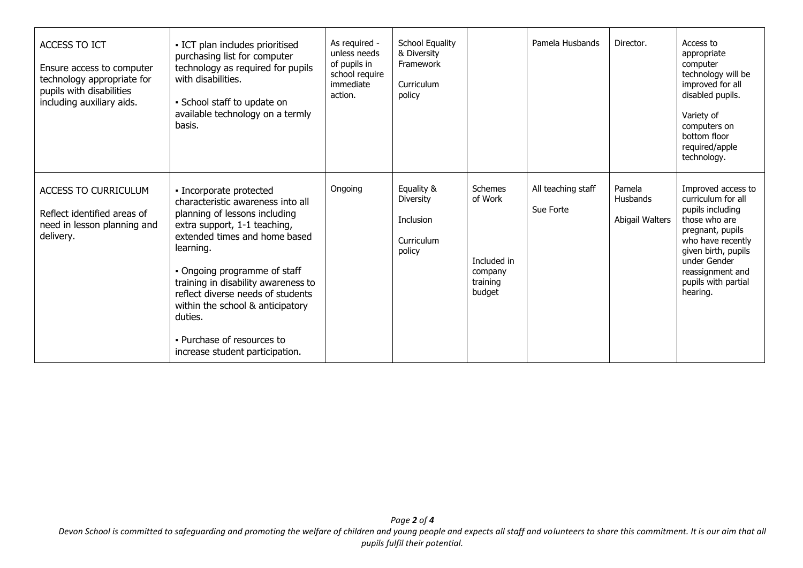| <b>ACCESS TO ICT</b><br>Ensure access to computer<br>technology appropriate for<br>pupils with disabilities<br>including auxiliary aids. | - ICT plan includes prioritised<br>purchasing list for computer<br>technology as required for pupils<br>with disabilities.<br>• School staff to update on<br>available technology on a termly<br>basis.                                                                                                                                                                                                 | As required -<br>unless needs<br>of pupils in<br>school require<br>immediate<br>action. | <b>School Equality</b><br>& Diversity<br>Framework<br>Curriculum<br>policy |                                                                           | Pamela Husbands                 | Director.                                    | Access to<br>appropriate<br>computer<br>technology will be<br>improved for all<br>disabled pupils.<br>Variety of<br>computers on<br>bottom floor<br>required/apple<br>technology.                                    |
|------------------------------------------------------------------------------------------------------------------------------------------|---------------------------------------------------------------------------------------------------------------------------------------------------------------------------------------------------------------------------------------------------------------------------------------------------------------------------------------------------------------------------------------------------------|-----------------------------------------------------------------------------------------|----------------------------------------------------------------------------|---------------------------------------------------------------------------|---------------------------------|----------------------------------------------|----------------------------------------------------------------------------------------------------------------------------------------------------------------------------------------------------------------------|
| <b>ACCESS TO CURRICULUM</b><br>Reflect identified areas of<br>need in lesson planning and<br>delivery.                                   | · Incorporate protected<br>characteristic awareness into all<br>planning of lessons including<br>extra support, 1-1 teaching,<br>extended times and home based<br>learning.<br>• Ongoing programme of staff<br>training in disability awareness to<br>reflect diverse needs of students<br>within the school & anticipatory<br>duties.<br>. Purchase of resources to<br>increase student participation. | Ongoing                                                                                 | Equality &<br><b>Diversity</b><br><b>Inclusion</b><br>Curriculum<br>policy | <b>Schemes</b><br>of Work<br>Included in<br>company<br>training<br>budget | All teaching staff<br>Sue Forte | Pamela<br><b>Husbands</b><br>Abigail Walters | Improved access to<br>curriculum for all<br>pupils including<br>those who are<br>pregnant, pupils<br>who have recently<br>given birth, pupils<br>under Gender<br>reassignment and<br>pupils with partial<br>hearing. |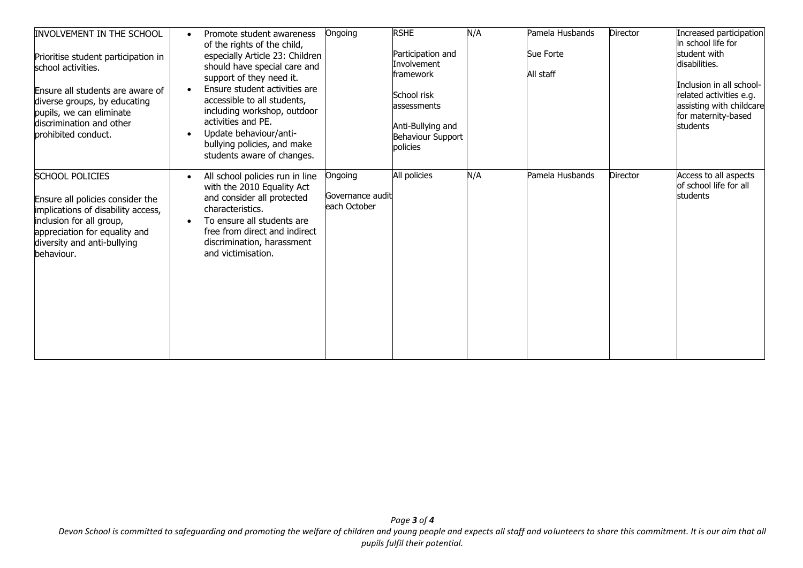| <b>INVOLVEMENT IN THE SCHOOL</b><br>Prioritise student participation in<br>school activities.<br>Ensure all students are aware of<br>diverse groups, by educating<br>pupils, we can eliminate<br>discrimination and other<br>prohibited conduct. | Promote student awareness<br>of the rights of the child,<br>especially Article 23: Children<br>should have special care and<br>support of they need it.<br>Ensure student activities are<br>accessible to all students,<br>including workshop, outdoor<br>activities and PE.<br>Update behaviour/anti-<br>bullying policies, and make<br>students aware of changes. | Ongoing                                     | <b>RSHE</b><br>Participation and<br>Involvement<br>framework<br>School risk<br>assessments<br>Anti-Bullying and<br>Behaviour Support<br>policies | N/A | Pamela Husbands<br>Sue Forte<br>All staff | Director | Increased participation<br>in school life for<br>student with<br>disabilities.<br>Inclusion in all school-<br>related activities e.g.<br>assisting with childcare<br>for maternity-based<br>students |
|--------------------------------------------------------------------------------------------------------------------------------------------------------------------------------------------------------------------------------------------------|---------------------------------------------------------------------------------------------------------------------------------------------------------------------------------------------------------------------------------------------------------------------------------------------------------------------------------------------------------------------|---------------------------------------------|--------------------------------------------------------------------------------------------------------------------------------------------------|-----|-------------------------------------------|----------|------------------------------------------------------------------------------------------------------------------------------------------------------------------------------------------------------|
| <b>SCHOOL POLICIES</b><br>Ensure all policies consider the<br>implications of disability access,<br>inclusion for all group,<br>appreciation for equality and<br>diversity and anti-bullying<br>behaviour.                                       | All school policies run in line<br>$\bullet$<br>with the 2010 Equality Act<br>and consider all protected<br>characteristics.<br>To ensure all students are<br>free from direct and indirect<br>discrimination, harassment<br>and victimisation.                                                                                                                     | Ongoing<br>Governance audit<br>each October | All policies                                                                                                                                     | N/A | Pamela Husbands                           | Director | Access to all aspects<br>of school life for all<br><b>students</b>                                                                                                                                   |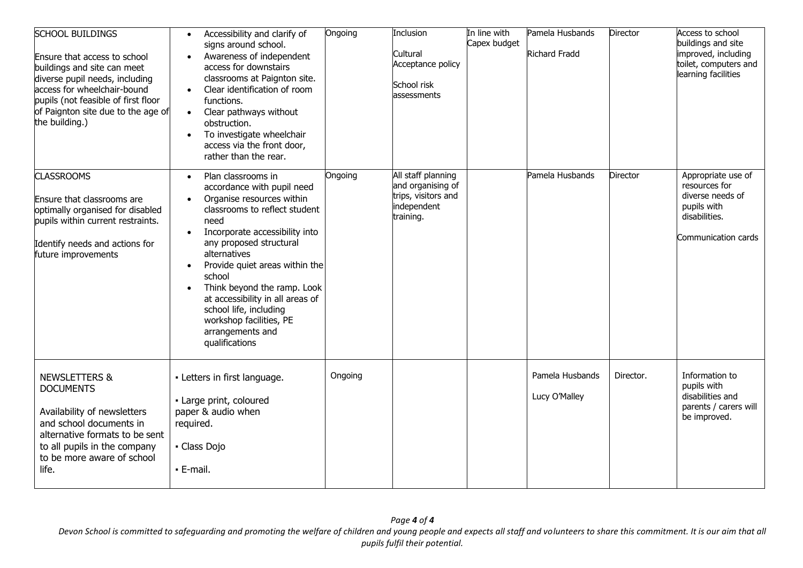| <b>SCHOOL BUILDINGS</b><br>Ensure that access to school<br>buildings and site can meet<br>diverse pupil needs, including<br>access for wheelchair-bound<br>pupils (not feasible of first floor<br>of Paignton site due to the age of<br>the building.) | Accessibility and clarify of<br>$\bullet$<br>signs around school.<br>Awareness of independent<br>access for downstairs<br>classrooms at Paignton site.<br>Clear identification of room<br>$\bullet$<br>functions.<br>Clear pathways without<br>$\bullet$<br>obstruction.<br>To investigate wheelchair<br>$\bullet$<br>access via the front door,<br>rather than the rear.                                                               | Ongoing | Inclusion<br>Cultural<br>Acceptance policy<br>School risk<br>assessments                   | In line with<br>Capex budget | Pamela Husbands<br><b>Richard Fradd</b> | <b>Director</b> | Access to school<br>buildings and site<br>improved, including<br>toilet, computers and<br>learning facilities  |
|--------------------------------------------------------------------------------------------------------------------------------------------------------------------------------------------------------------------------------------------------------|-----------------------------------------------------------------------------------------------------------------------------------------------------------------------------------------------------------------------------------------------------------------------------------------------------------------------------------------------------------------------------------------------------------------------------------------|---------|--------------------------------------------------------------------------------------------|------------------------------|-----------------------------------------|-----------------|----------------------------------------------------------------------------------------------------------------|
| <b>CLASSROOMS</b><br>Ensure that classrooms are<br>optimally organised for disabled<br>pupils within current restraints.<br>Identify needs and actions for<br>future improvements                                                                      | Plan classrooms in<br>$\bullet$<br>accordance with pupil need<br>Organise resources within<br>classrooms to reflect student<br>need<br>Incorporate accessibility into<br>$\bullet$<br>any proposed structural<br>alternatives<br>Provide quiet areas within the<br>school<br>Think beyond the ramp. Look<br>at accessibility in all areas of<br>school life, including<br>workshop facilities, PE<br>arrangements and<br>qualifications | Ongoing | All staff planning<br>and organising of<br>trips, visitors and<br>independent<br>training. |                              | Pamela Husbands                         | <b>Director</b> | Appropriate use of<br>resources for<br>diverse needs of<br>pupils with<br>disabilities.<br>Communication cards |
| <b>NEWSLETTERS &amp;</b><br><b>DOCUMENTS</b><br>Availability of newsletters<br>and school documents in<br>alternative formats to be sent<br>to all pupils in the company<br>to be more aware of school<br>life.                                        | - Letters in first language.<br>- Large print, coloured<br>paper & audio when<br>required.<br>- Class Dojo<br>- E-mail.                                                                                                                                                                                                                                                                                                                 | Ongoing |                                                                                            |                              | Pamela Husbands<br>Lucy O'Malley        | Director.       | Information to<br>pupils with<br>disabilities and<br>parents / carers will<br>be improved.                     |

*Page 4 of 4 Devon School is committed to safeguarding and promoting the welfare of children and young people and expects all staff and volunteers to share this commitment. It is our aim that all pupils fulfil their potential.*